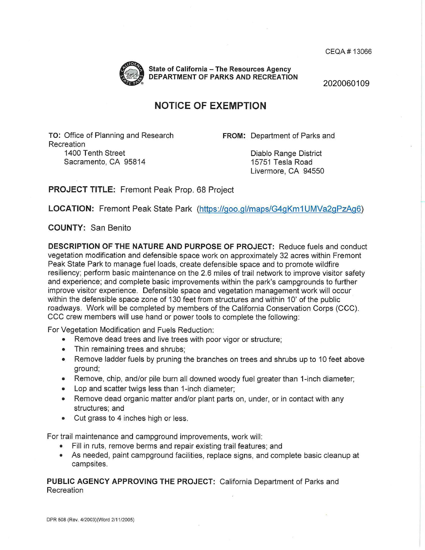CEQA# 13066



**State of California - The Resources Agency DEPARTMENT OF PARKS AND RECREATION** 

2020060109

## **NOTICE OF EXEMPTION**

**TO:** Office of Planning and Research Recreation 1400 Tenth Street Sacramento, CA 95814

**FROM:** Department of Parks and

Diablo Range District 15751 Tesla Road Livermore, CA 94550

**PROJECT TITLE:** Fremont Peak Prop. 68 Project

LOCATION: Fremont Peak State Park (https://goo.gl/maps/G4gKm1 UMVa2gPzAg6)

**COUNTY:** San Benito

**DESCRIPTION OF THE NATURE AND PURPOSE OF PROJECT:** Reduce fuels and conduct vegetation modification and defensible space work on approximately 32 acres within Fremont Peak State Park to manage fuel loads, create defensible space and to promote wildfire resiliency; perform basic maintenance on the 2.6 miles of trail network to improve visitor safety and experience; and complete basic improvements within the park's campgrounds to further improve visitor experience. Defensible space and vegetation management work will occur within the defensible space zone of 130 feet from structures and within 10' of the public roadways. Work will be completed by members of the California Conservation Corps (CCC). CCC crew members will use hand or power tools to complete the following:

For Vegetation Modification and Fuels Reduction:

- Remove dead trees and live trees with poor vigor or structure;
- Thin remaining trees and shrubs;
- Remove ladder fuels by pruning the branches on trees and shrubs up to 10 feet above ground;
- Remove, chip, and/or pile burn all downed woody fuel greater than 1-inch diameter;
- Lop and scatter twigs less than 1-inch diameter;
- Remove dead organic matter and/or plant parts on, under, or in contact with any structures; and
- Cut grass to 4 inches high or less .

For trail maintenance and campground improvements, work will:

- Fill in ruts, remove berms and repair existing trail features; and
- As needed, paint campground facilities, replace signs, and complete basic cleanup at campsites.

**PUBLIC AGENCY APPROVING THE PROJECT:** California Department of Parks and Recreation